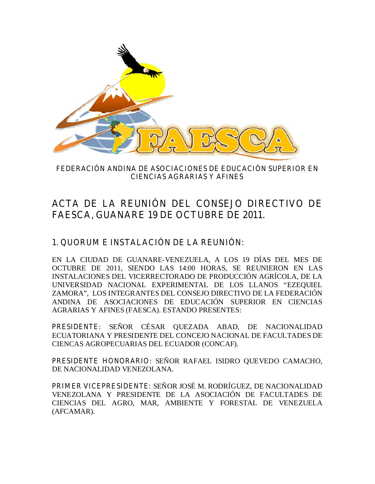

FEDERACIÓN ANDINA DE ASOCIACIONES DE EDUCACIÓN SUPERIOR EN CIENCIAS AGRARIAS Y AFINES

# ACTA DE LA REUNIÓN DEL CONSEJO DIRECTIVO DE FAESCA, GUANARE 19 DE OCTUBRE DE 2011.

# 1. QUORUM E INSTALACIÓN DE LA REUNIÓN:

EN LA CIUDAD DE GUANARE-VENEZUELA, A LOS 19 DÍAS DEL MES DE OCTUBRE DE 2011, SIENDO LAS 14:00 HORAS, SE REUNIERON EN LAS INSTALACIONES DEL VICERRECTORADO DE PRODUCCIÓN AGRÍCOLA, DE LA UNIVERSIDAD NACIONAL EXPERIMENTAL DE LOS LLANOS "EZEQUIEL ZAMORA", LOS INTEGRANTES DEL CONSEJO DIRECTIVO DE LA FEDERACIÓN ANDINA DE ASOCIACIONES DE EDUCACIÓN SUPERIOR EN CIENCIAS AGRARIAS Y AFINES (FAESCA). ESTANDO PRESENTES:

PRESIDENTE: SEÑOR CÉSAR QUEZADA ABAD, DE NACIONALIDAD ECUATORIANA Y PRESIDENTE DEL CONCEJO NACIONAL DE FACULTADES DE CIENCAS AGROPECUARIAS DEL ECUADOR (CONCAF).

PRESIDENTE HONORARIO: SEÑOR RAFAEL ISIDRO QUEVEDO CAMACHO, DE NACIONALIDAD VENEZOLANA.

PRIMER VICEPRESIDENTE: SEÑOR JOSÉ M. RODRÍGUEZ, DE NACIONALIDAD VENEZOLANA Y PRESIDENTE DE LA ASOCIACIÓN DE FACULTADES DE CIENCIAS DEL AGRO, MAR, AMBIENTE Y FORESTAL DE VENEZUELA (AFCAMAR).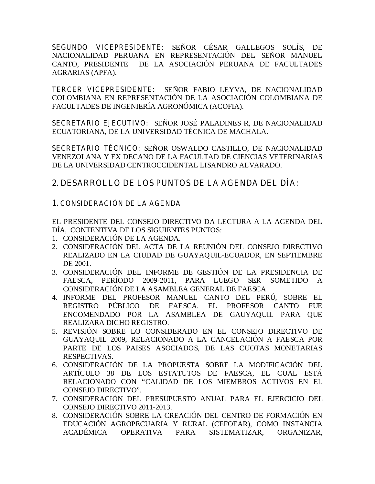SEGUNDO VICEPRESIDENTE: SEÑOR CÉSAR GALLEGOS SOLÍS, DE NACIONALIDAD PERUANA EN REPRESENTACIÓN DEL SEÑOR MANUEL CANTO, PRESIDENTE DE LA ASOCIACIÓN PERUANA DE FACULTADES AGRARIAS (APFA).

TERCER VICEPRESIDENTE: SEÑOR FABIO LEYVA, DE NACIONALIDAD COLOMBIANA EN REPRESENTACIÓN DE LA ASOCIACIÓN COLOMBIANA DE FACULTADES DE INGENIERÍA AGRONÓMICA (ACOFIA).

SECRETARIO EJECUTIVO: SEÑOR JOSÉ PALADINES R, DE NACIONALIDAD ECUATORIANA, DE LA UNIVERSIDAD TÉCNICA DE MACHALA.

SECRETARIO TÉCNICO: SEÑOR OSWALDO CASTILLO, DE NACIONALIDAD VENEZOLANA Y EX DECANO DE LA FACULTAD DE CIENCIAS VETERINARIAS DE LA UNIVERSIDAD CENTROCCIDENTAL LISANDRO ALVARADO.

# 2. DESARROLLO DE LOS PUNTOS DE LA AGENDA DEL DÍA:

### 1. CONSIDERACIÓN DE LA AGENDA

EL PRESIDENTE DEL CONSEJO DIRECTIVO DA LECTURA A LA AGENDA DEL DÍA, CONTENTIVA DE LOS SIGUIENTES PUNTOS:

- 1. CONSIDERACIÓN DE LA AGENDA.
- 2. CONSIDERACIÓN DEL ACTA DE LA REUNIÓN DEL CONSEJO DIRECTIVO REALIZADO EN LA CIUDAD DE GUAYAQUIL-ECUADOR, EN SEPTIEMBRE DE 2001.
- 3. CONSIDERACIÓN DEL INFORME DE GESTIÓN DE LA PRESIDENCIA DE FAESCA, PERÍODO 2009-2011, PARA LUEGO SER SOMETIDO A CONSIDERACIÓN DE LA ASAMBLEA GENERAL DE FAESCA.
- 4. INFORME DEL PROFESOR MANUEL CANTO DEL PERÚ, SOBRE EL REGISTRO PÚBLICO DE FAESCA. EL PROFESOR CANTO FUE ENCOMENDADO POR LA ASAMBLEA DE GAUYAQUIL PARA QUE REALIZARA DICHO REGISTRO.
- 5. REVISIÓN SOBRE LO CONSIDERADO EN EL CONSEJO DIRECTIVO DE GUAYAQUIL 2009, RELACIONADO A LA CANCELACIÓN A FAESCA POR PARTE DE LOS PAISES ASOCIADOS, DE LAS CUOTAS MONETARIAS RESPECTIVAS.
- 6. CONSIDERACIÓN DE LA PROPUESTA SOBRE LA MODIFICACIÓN DEL ARTÍCULO 38 DE LOS ESTATUTOS DE FAESCA, EL CUAL ESTÁ RELACIONADO CON "CALIDAD DE LOS MIEMBROS ACTIVOS EN EL CONSEJO DIRECTIVO".
- 7. CONSIDERACIÓN DEL PRESUPUESTO ANUAL PARA EL EJERCICIO DEL CONSEJO DIRECTIVO 2011-2013.
- 8. CONSIDERACIÓN SOBRE LA CREACIÓN DEL CENTRO DE FORMACIÓN EN EDUCACIÓN AGROPECUARIA Y RURAL (CEFOEAR), COMO INSTANCIA ACADÉMICA OPERATIVA PARA SISTEMATIZAR, ORGANIZAR,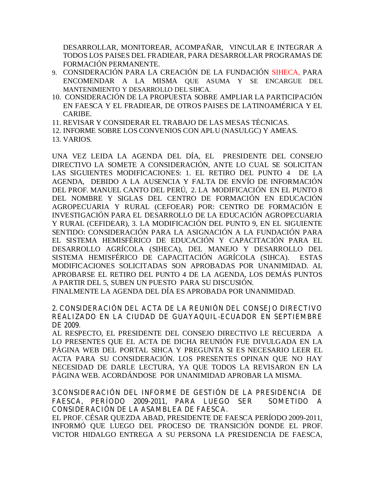DESARROLLAR, MONITOREAR, ACOMPAÑAR, VINCULAR E INTEGRAR A TODOS LOS PAISES DEL FRADIEAR, PARA DESARROLLAR PROGRAMAS DE FORMACIÓN PERMANENTE.

- 9. CONSIDERACIÓN PARA LA CREACIÓN DE LA FUNDACIÓN SIHECA. PARA ENCOMENDAR A LA MISMA QUE ASUMA Y SE ENCARGUE DEL MANTENIMIENTO Y DESARROLLO DEL SIHCA.
- 10. CONSIDERACIÓN DE LA PROPUESTA SOBRE AMPLIAR LA PARTICIPACIÓN EN FAESCA Y EL FRADIEAR, DE OTROS PAISES DE LATINOAMÉRICA Y EL CARIBE.
- 11. REVISAR Y CONSIDERAR EL TRABAJO DE LAS MESAS TÉCNICAS.
- 12. INFORME SOBRE LOS CONVENIOS CON APLU (NASULGC) Y AMEAS.
- 13. VARIOS.

UNA VEZ LEIDA LA AGENDA DEL DÍA, EL PRESIDENTE DEL CONSEJO DIRECTIVO LA SOMETE A CONSIDERACIÓN, ANTE LO CUAL SE SOLICITAN LAS SIGUIENTES MODIFICACIONES: 1. EL RETIRO DEL PUNTO 4 DE LA AGENDA, DEBIDO A LA AUSENCIA Y FALTA DE ENVÍO DE INFORMACIÓN DEL PROF. MANUEL CANTO DEL PERÚ, 2. LA MODIFICACIÓN EN EL PUNTO 8 DEL NOMBRE Y SIGLAS DEL CENTRO DE FORMACIÓN EN EDUCACIÓN AGROPECUARIA Y RURAL (CEFOEAR) POR: CENTRO DE FORMACIÓN E INVESTIGACIÓN PARA EL DESARROLLO DE LA EDUCACIÓN AGROPECUARIA Y RURAL (CEFIDEAR), 3. LA MODIFICACIÓN DEL PUNTO 9, EN EL SIGUIENTE SENTIDO: CONSIDERACIÓN PARA LA ASIGNACIÓN A LA FUNDACIÓN PARA EL SISTEMA HEMISFÉRICO DE EDUCACIÓN Y CAPACITACIÓN PARA EL DESARROLLO AGRÍCOLA (SIHECA), DEL MANEJO Y DESARROLLO DEL SISTEMA HEMISFÉRICO DE CAPACITACIÓN AGRÍCOLA (SIHCA). ESTAS MODIFICACIONES SOLICITADAS SON APROBADAS POR UNANIMIDAD. AL APROBARSE EL RETIRO DEL PUNTO 4 DE LA AGENDA, LOS DEMÁS PUNTOS A PARTIR DEL 5, SUBEN UN PUESTO PARA SU DISCUSIÓN.

FINALMENTE LA AGENDA DEL DÍA ES APROBADA POR UNANIMIDAD.

### 2. CONSIDERACIÓN DEL ACTA DE LA REUNIÓN DEL CONSEJO DIRECTIVO REALIZADO EN LA CIUDAD DE GUAYAQUIL-ECUADOR EN SEPTIEMBRE DE 2009.

AL RESPECTO, EL PRESIDENTE DEL CONSEJO DIRECTIVO LE RECUERDA A LO PRESENTES QUE EL ACTA DE DICHA REUNIÓN FUE DIVULGADA EN LA PÁGINA WEB DEL PORTAL SIHCA Y PREGUNTA SI ES NECESARIO LEER EL ACTA PARA SU CONSIDERACIÓN. LOS PRESENTES OPINAN QUE NO HAY NECESIDAD DE DARLE LECTURA, YA QUE TODOS LA REVISARON EN LA PÁGINA WEB. ACORDÁNDOSE POR UNANIMIDAD APROBAR LA MISMA.

### 3.CONSIDERACIÓN DEL INFORME DE GESTIÓN DE LA PRESIDENCIA DE FAESCA, PERÍODO 2009-2011, PARA LUEGO SER SOMETIDO A CONSIDERACIÓN DE LA ASAMBLEA DE FAESCA.

EL PROF. CÉSAR QUEZDA ABAD, PRESIDENTE DE FAESCA PERÍODO 2009-2011, INFORMÓ QUE LUEGO DEL PROCESO DE TRANSICIÓN DONDE EL PROF. VICTOR HIDALGO ENTREGA A SU PERSONA LA PRESIDENCIA DE FAESCA,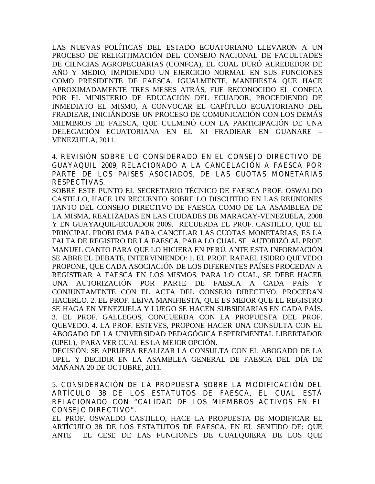LAS NUEVAS POLÍTICAS DEL ESTADO ECUATORIANO LLEVARON A UN PROCESO DE RELIGITIMACIÓN DEL CONSEJO NACIONAL DE FACULTADES DE CIENCIAS AGROPECUARIAS (CONFCA), EL CUAL DURÓ ALREDEDOR DE AÑO Y MEDIO, IMPIDIENDO UN EJERCICIO NORMAL EN SUS FUNCIONES COMO PRESIDENTE DE FAESCA. IGUALMENTE, MANIFIESTA QUE HACE APROXIMADAMENTE TRES MESES ATRÁS, FUE RECONOCIDO EL CONFCA POR EL MINISTERIO DE EDUCACIÓN DEL ECUADOR, PROCEDIENDO DE INMEDIATO EL MISMO, A CONVOCAR EL CAPÍTULO ECUATORIANO DEL FRADIEAR, INICIÁNDOSE UN PROCESO DE COMUNICACIÓN CON LOS DEMÁS MIEMBROS DE FAESCA, QUE CULMINÓ CON LA PARTICIPACIÓN DE UNA DELEGACIÓN ECUATORIANA EN EL XI FRADIEAR EN GUANARE – VENEZUELA, 2011.

### 4. REVISIÓN SOBRE LO CONSIDERADO EN EL CONSEJO DIRECTIVO DE GUAYAQUIL 2009, RELACIONADO A LA CANCELACIÓN A FAESCA POR PARTE DE LOS PAISES ASOCIADOS, DE LAS CUOTAS MONETARIAS RESPECTIVAS.

SOBRE ESTE PUNTO EL SECRETARIO TÉCNICO DE FAESCA PROF. OSWALDO CASTILLO, HACE UN RECUENTO SOBRE LO DISCUTIDO EN LAS REUNIONES TANTO DEL CONSEJO DIRECTIVO DE FAESCA COMO DE LA ASAMBLEA DE LA MISMA, REALIZADAS EN LAS CIUDADES DE MARACAY-VENEZUELA, 2008 Y EN GUAYAQUIL-ECUADOR 2009. RECUERDA EL PROF. CASTILLO, QUE EL PRINCIPAL PROBLEMA PARA CANCELAR LAS CUOTAS MONETARIAS, ES LA FALTA DE REGISTRO DE LA FAESCA, PARA LO CUAL SE AUTORIZÓ AL PROF. MANUEL CANTO PARA QUE LO HICIERA EN PERÚ. ANTE ESTA INFORMACIÓN SE ABRE EL DEBATE, INTERVINIENDO: 1. EL PROF. RAFAEL ISIDRO QUEVEDO PROPONE, QUE CADA ASOCIACIÓN DE LOS DIFERENTES PAÍSES PROCEDAN A REGISTRAR A FAESCA EN LOS MISMOS. PARA LO CUAL, SE DEBE HACER UNA AUTORIZACIÓN POR PARTE DE FAESCA A CADA PAÍS Y CONJUNTAMENTE CON EL ACTA DEL CONSEJO DIRECTIVO, PROCEDAN HACERLO. 2. EL PROF. LEIVA MANIFIESTA, QUE ES MEJOR QUE EL REGISTRO SE HAGA EN VENEZUELA Y LUEGO SE HACEN SUBSIDIARIAS EN CADA PAÍS. 3. EL PROF. GALLEGOS, CONCUERDA CON LA PROPUESTA DEL PROF. QUEVEDO. 4. LA PROF. ESTEVES, PROPONE HACER UNA CONSULTA CON EL ABOGADO DE LA UNIVERSIDAD PEDAGÓGICA ESPERIMENTAL LIBERTADOR (UPEL), PARA VER CUAL ES LA MEJOR OPCIÓN.

DECISIÓN: SE APRUEBA REALIZAR LA CONSULTA CON EL ABOGADO DE LA UPEL Y DECIDIR EN LA ASAMBLEA GENERAL DE FAESCA DEL DÍA DE MAÑANA 20 DE OCTUBRE, 2011.

### 5. CONSIDERACIÓN DE LA PROPUESTA SOBRE LA MODIFICACIÓN DEL ARTÍCULO 38 DE LOS ESTATUTOS DE FAESCA, EL CUAL ESTÁ RELACIONADO CON "CALIDAD DE LOS MIEMBROS ACTIVOS EN EL CONSEJO DIRECTIVO".

EL PROF. OSWALDO CASTILLO, HACE LA PROPUESTA DE MODIFICAR EL ARTÍCUILO 38 DE LOS ESTATUTOS DE FAESCA, EN EL SENTIDO DE: QUE ANTE EL CESE DE LAS FUNCIONES DE CUALQUIERA DE LOS QUE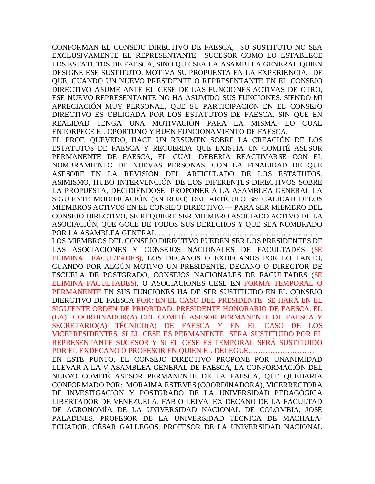CONFORMAN EL CONSEJO DIRECTIVO DE FAESCA, SU SUSTITUTO NO SEA EXCLUSIVAMENTE EL REPRESENTANTE SUCESOR COMO LO ESTABLECE LOS ESTATUTOS DE FAESCA, SINO QUE SEA LA ASAMBLEA GENERAL QUIEN DESIGNE ESE SUSTITUTO. MOTIVA SU PROPUESTA EN LA EXPERIENCIA, DE QUE, CUANDO UN NUEVO PRESIDENTE O REPRESENTANTE EN EL CONSEJO DIRECTIVO ASUME ANTE EL CESE DE LAS FUNCIONES ACTIVAS DE OTRO, ESE NUEVO REPRESENTANTE NO HA ASUMIDO SUS FUNCIONES. SIENDO MI APRECIACIÓN MUY PERSONAL, QUE SU PARTICIPACIÓN EN EL CONSEJO DIRECTIVO ES OBLIGADA POR LOS ESTATUTOS DE FAESCA, SIN QUE EN REALIDAD TENGA UNA MOTIVACIÓN PARA LA MISMA, LO CUAL ENTORPECE EL OPORTUNO Y BUEN FUNCIONAMIENTO DE FAESCA.

EL PROF. QUEVEDO, HACE UN RESUMEN SOBRE LA CREACIÓN DE LOS ESTATUTOS DE FAESCA Y RECUERDA QUE EXISTÍA UN COMITÉ ASESOR PERMANENTE DE FAESCA, EL CUAL DEBERÍA REACTIVARSE CON EL NOMBRAMIENTO DE NUEVAS PERSONAS, CON LA FINALIDAD DE QUE ASESORE EN LA REVISIÓN DEL ARTICULADO DE LOS ESTATUTOS. ASIMISMO, HUBO INTERVENCIÓN DE LOS DIFERENTES DIRECTIVOS SOBRE LA PROPUESTA, DECIDIÉNDOSE PROPONER A LA ASAMBLEA GENERAL LA SIGUIENTE MODIFICACIÓN (EN ROJO) DEL ARTÍCULO 38: CALIDAD DELOS MIEMBROS ACTIVOS EN EL CONSEJO DIRECTIVO.--- PARA SER MIEMBRO DEL CONSEJO DIRECTIVO, SE REQUIERE SER MIEMBRO ASOCIADO ACTIVO DE LA ASOCIACIÓN, QUE GOCE DE TODOS SUS DERECHOS Y QUE SEA NOMBRADO POR LA ASAMBLEA GENERAL…………………………………………………………

LOS MIEMBROS DEL CONSEJO DIRECTIVO PUEDEN SER LOS PRESIDENTES DE LAS ASOCIACIONES Y CONSEJOS NACIONALES DE FACULTADES (SE ELIMINA FACULTADES), LOS DECANOS O EXDECANOS POR LO TANTO, CUANDO POR ALGÚN MOTIVO UN PRESIDENTE, DECANO O DIRECTOR DE ESCUELA DE POSTGRADO, CONSEJOS NACIONALES DE FACULTADES (SE ELIMINA FACULTADES), O ASOCIACIONES CESE EN FORMA TEMPORAL O PERMANENTE EN SUS FUNCIONES HA DE SER SUSTITUIDO EN EL CONSEJO DIERCTIVO DE FAESCA POR: EN EL CASO DEL PRESIDENTE SE HARÁ EN EL SIGUIENTE ORDEN DE PRIORIDAD: PRESIDENTE HONORARIO DE FAESCA, EL (LA) COORDINADOR(A) DEL COMITÉ ASESOR PERMANENTE DE FAESCA Y SECRETARIO(A) TÉCNICO(A) DE FAESCA Y EN EL CASO DE LOS VICEPRESIDENTES, SI EL CESE ES PERMANENTE SERA SUSTITUIDO POR EL REPRESENTANTE SUCESOR Y SI EL CESE ES TEMPORAL SERÁ SUSTITUIDO POR EL EXDECANO O PROFESOR EN QUIEN EL DELEGUE………………………

EN ESTE PUNTO, EL CONSEJO DIRECTIVO PROPONE POR UNANIMIDAD LLEVAR A LA V ASAMBLEA GENERAL DE FAESCA, LA CONFORMACIÓN DEL NUEVO COMITÉ ASESOR PERMANENTE DE LA FAESCA, QUE QUEDARÍA CONFORMADO POR: MORAIMA ESTEVES (COORDINADORA), VICERRECTORA DE INVESTIGACIÓN Y POSTGRADO DE LA UNIVERSIDAD PEDAGÓGICA LIBERTADOR DE VENEZUELA, FABIO LEIVA, EX DECANO DE LA FACULTAD DE AGRONOMÍA DE LA UNIVERSIDAD NACIONAL DE COLOMBIA, JOSÉ PALADINES, PROFESOR DE LA UNIVERSIDAD TÉCNICA DE MACHALA-ECUADOR, CÉSAR GALLEGOS, PROFESOR DE LA UNIVERSIDAD NACIONAL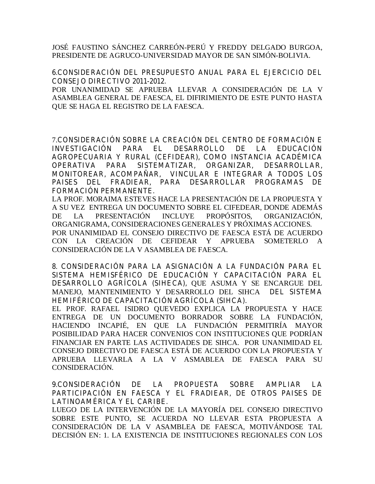JOSÉ FAUSTINO SÁNCHEZ CARREÓN-PERÚ Y FREDDY DELGADO BURGOA, PRESIDENTE DE AGRUCO-UNIVERSIDAD MAYOR DE SAN SIMÓN-BOLIVIA.

### 6.CONSIDERACIÓN DEL PRESUPUESTO ANUAL PARA EL EJERCICIO DEL CONSEJO DIRECTIVO 2011-2012.

POR UNANIMIDAD SE APRUEBA LLEVAR A CONSIDERACIÓN DE LA V ASAMBLEA GENERAL DE FAESCA, EL DIFIRIMIENTO DE ESTE PUNTO HASTA QUE SE HAGA EL REGISTRO DE LA FAESCA.

7.CONSIDERACIÓN SOBRE LA CREACIÓN DEL CENTRO DE FORMACIÓN E INVESTIGACIÓN PARA EL DESARROLLO DE LA EDUCACIÓN AGROPECUARIA Y RURAL (CEFIDEAR), COMO INSTANCIA ACADÉMICA OPERATIVA PARA SISTEMATIZAR, ORGANIZAR, DESARROLLAR, MONITOREAR, ACOMPAÑAR, VINCULAR E INTEGRAR A TODOS LOS PAISES DEL FRADIEAR, PARA DESARROLLAR PROGRAMAS DE FORMACIÓN PERMANENTE.

LA PROF. MORAIMA ESTEVES HACE LA PRESENTACIÓN DE LA PROPUESTA Y A SU VEZ ENTREGA UN DOCUMENTO SOBRE EL CIFEDEAR, DONDE ADEMÁS DE LA PRESENTACIÓN INCLUYE PROPÓSITOS, ORGANIZACIÓN, ORGANIGRAMA, CONSIDERACIONES GENERALES Y PRÓXIMAS ACCIONES. POR UNANIMIDAD EL CONSEJO DIRECTIVO DE FAESCA ESTÁ DE ACUERDO CON LA CREACIÓN DE CEFIDEAR Y APRUEBA SOMETERLO A CONSIDERACIÓN DE LA V ASAMBLEA DE FAESCA.

8. CONSIDERACIÓN PARA LA ASIGNACIÓN A LA FUNDACIÓN PARA EL SISTEMA HEMISFÉRICO DE EDUCACIÓN Y CAPACITACIÓN PARA EL DESARROLLO AGRÍCOLA (SIHECA), QUE ASUMA Y SE ENCARGUE DEL MANEJO, MANTENIMIENTO Y DESARROLLO DEL SIHCA DEL SISTEMA HEMIFÉRICO DE CAPACITACIÓN AGRÍCOLA (SIHCA).

EL PROF. RAFAEL ISIDRO QUEVEDO EXPLICA LA PROPUESTA Y HACE ENTREGA DE UN DOCUMENTO BORRADOR SOBRE LA FUNDACIÓN, HACIENDO INCAPIÉ, EN QUE LA FUNDACIÓN PERMITIRÍA MAYOR POSIBILIDAD PARA HACER CONVENIOS CON INSTITUCIONES QUE PODRÍAN FINANCIAR EN PARTE LAS ACTIVIDADES DE SIHCA. POR UNANIMIDAD EL CONSEJO DIRECTIVO DE FAESCA ESTÁ DE ACUERDO CON LA PROPUESTA Y APRUEBA LLEVARLA A LA V ASMABLEA DE FAESCA PARA SU CONSIDERACIÓN.

### 9.CONSIDERACIÓN DE LA PROPUESTA SOBRE AMPLIAR LA PARTICIPACIÓN EN FAESCA Y EL FRADIEAR, DE OTROS PAISES DE LATINOAMÉRICA Y EL CARIBE.

LUEGO DE LA INTERVENCIÓN DE LA MAYORÍA DEL CONSEJO DIRECTIVO SOBRE ESTE PUNTO, SE ACUERDA NO LLEVAR ESTA PROPUESTA A CONSIDERACIÓN DE LA V ASAMBLEA DE FAESCA, MOTIVÁNDOSE TAL DECISIÓN EN: 1. LA EXISTENCIA DE INSTITUCIONES REGIONALES CON LOS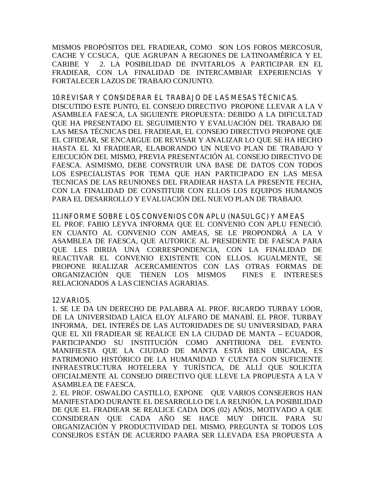MISMOS PROPÓSITOS DEL FRADIEAR, COMO SON LOS FOROS MERCOSUR, CACHE Y CCSUCA, QUE AGRUPAN A REGIONES DE LATINOAMÉRICA Y EL CARIBE Y 2. LA POSIBILIDAD DE INVITARLOS A PARTICIPAR EN EL FRADIEAR, CON LA FINALIDAD DE INTERCAMBIAR EXPERIENCIAS Y FORTALECER LAZOS DE TRABAJO CONJUNTO.

### 10.REVISAR Y CONSIDERAR EL TRABAJO DE LAS MESAS TÉCNICAS.

DISCUTIDO ESTE PUNTO, EL CONSEJO DIRECTIVO PROPONE LLEVAR A LA V ASAMBLEA FAESCA, LA SIGUIENTE PROPUESTA: DEBIDO A LA DIFICULTAD QUE HA PRESENTADO EL SEGUIMIENTO Y EVALUACIÓN DEL TRABAJO DE LAS MESA TÉCNICAS DEL FRADIEAR, EL CONSEJO DIRECTIVO PROPONE QUE EL CIFIDEAR, SE ENCARGUE DE REVISAR Y ANALIZAR LO QUE SE HA HECHO HASTA EL XI FRADIEAR, ELABORANDO UN NUEVO PLAN DE TRABAJO Y EJECUCIÓN DEL MISMO, PREVIA PRESENTACIÓN AL CONSEJO DIRECTIVO DE FAESCA. ASIMISMO, DEBE CONSTRUIR UNA BASE DE DATOS CON TODOS LOS ESPECIALISTAS POR TEMA QUE HAN PARTICIPADO EN LAS MESA TECNICAS DE LAS REUNIONES DEL FRADIEAR HASTA LA PRESENTE FECHA, CON LA FINALIDAD DE CONSTITUIR CON ELLOS LOS EQUIPOS HUMANOS PARA EL DESARROLLO Y EVALUACIÓN DEL NUEVO PLAN DE TRABAJO.

### 11.INFORME SOBRE LOS CONVENIOS CON APLU (NASULGC) Y AMEAS

EL PROF. FABIO LEYVA INFORMA QUE EL CONVENIO CON APLU FENECIÓ. EN CUANTO AL CONVENIO CON AMEAS, SE LE PROPONDRÁ A LA V ASAMBLEA DE FAESCA, QUE AUTORICE AL PRESIDENTE DE FAESCA PARA QUE LES DIRIJA UNA CORRESPONDENCIA, CON LA FINALIDAD DE REACTIVAR EL CONVENIO EXISTENTE CON ELLOS. IGUALMENTE, SE PROPONE REALIZAR ACERCAMIENTOS CON LAS OTRAS FORMAS DE ORGANIZACIÓN QUE TIENEN LOS MISMOS FINES E INTERESES RELACIONADOS A LAS CIENCIAS AGRARIAS.

#### 12.VARIOS.

1. SE LE DA UN DERECHO DE PALABRA AL PROF. RICARDO TURBAY LOOR, DE LA UNIVERSIDAD LAICA ELOY ALFARO DE MANABÍ. EL PROF. TURBAY INFORMA, DEL INTERÉS DE LAS AUTORIDADES DE SU UNIVERSIDAD, PARA QUE EL XII FRADIEAR SE REALICE EN LA CIUDAD DE MANTA – ECUADOR, PARTICIPANDO SU INSTITUCIÓN COMO ANFITRIONA DEL EVENTO. MANIFIESTA QUE LA CIUDAD DE MANTA ESTÁ BIEN UBICADA, ES PATRIMONIO HISTÓRICO DE LA HUMANIDAD Y CUENTA CON SUFICIENTE INFRAESTRUCTURA HOTELERA Y TURÍSTICA, DE ALLÍ QUE SOLICITA OFICIALMENTE AL CONSEJO DIRECTIVO QUE LLEVE LA PROPUESTA A LA V ASAMBLEA DE FAESCA.

2. EL PROF. OSWALDO CASTILLO, EXPONE QUE VARIOS CONSEJEROS HAN MANIFESTADO DURANTE EL DESARROLLO DE LA REUNIÓN, LA POSIBILIDAD DE QUE EL FRADIEAR SE REALICE CADA DOS (02) AÑOS, MOTIVADO A QUE CONSIDERAN QUE CADA AÑO SE HACE MUY DIFICIL PARA SU ORGANIZACIÓN Y PRODUCTIVIDAD DEL MISMO, PREGUNTA SI TODOS LOS CONSEJROS ESTÁN DE ACUERDO PAARA SER LLEVADA ESA PROPUESTA A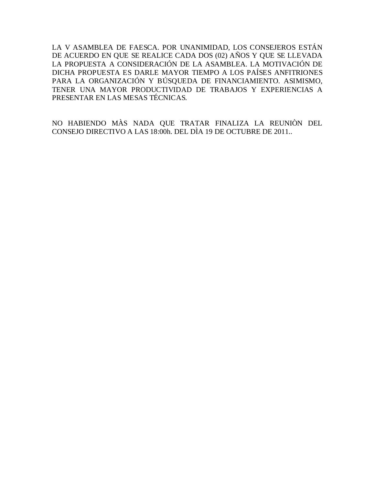LA V ASAMBLEA DE FAESCA. POR UNANIMIDAD, LOS CONSEJEROS ESTÁN DE ACUERDO EN QUE SE REALICE CADA DOS (02) AÑOS Y QUE SE LLEVADA LA PROPUESTA A CONSIDERACIÓN DE LA ASAMBLEA. LA MOTIVACIÓN DE DICHA PROPUESTA ES DARLE MAYOR TIEMPO A LOS PAÍSES ANFITRIONES PARA LA ORGANIZACIÓN Y BÚSQUEDA DE FINANCIAMIENTO. ASIMISMO, TENER UNA MAYOR PRODUCTIVIDAD DE TRABAJOS Y EXPERIENCIAS A PRESENTAR EN LAS MESAS TÉCNICAS.

NO HABIENDO MÀS NADA QUE TRATAR FINALIZA LA REUNIÒN DEL CONSEJO DIRECTIVO A LAS 18:00h. DEL DÌA 19 DE OCTUBRE DE 2011..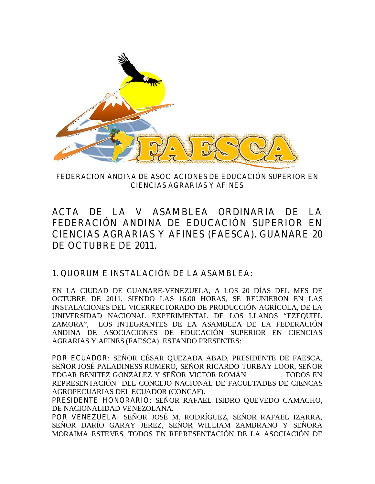

FEDERACIÓN ANDINA DE ASOCIACIONES DE EDUCACIÓN SUPERIOR EN CIENCIAS AGRARIAS Y AFINES

# ACTA DE LA V ASAMBLEA ORDINARIA DE LA FEDERACIÓN ANDINA DE EDUCACIÓN SUPERIOR EN CIENCIAS AGRARIAS Y AFINES (FAESCA). GUANARE 20 DE OCTUBRE DE 2011.

# 1. QUORUM E INSTALACIÓN DE LA ASAMBLEA:

EN LA CIUDAD DE GUANARE-VENEZUELA, A LOS 20 DÍAS DEL MES DE OCTUBRE DE 2011, SIENDO LAS 16:00 HORAS, SE REUNIERON EN LAS INSTALACIONES DEL VICERRECTORADO DE PRODUCCIÓN AGRÍCOLA, DE LA UNIVERSIDAD NACIONAL EXPERIMENTAL DE LOS LLANOS "EZEQUIEL ZAMORA", LOS INTEGRANTES DE LA ASAMBLEA DE LA FEDERACIÓN ANDINA DE ASOCIACIONES DE EDUCACIÓN SUPERIOR EN CIENCIAS AGRARIAS Y AFINES (FAESCA). ESTANDO PRESENTES:

POR ECUADOR: SEÑOR CÉSAR QUEZADA ABAD, PRESIDENTE DE FAESCA, SEÑOR JOSÉ PALADINESS ROMERO, SEÑOR RICARDO TURBAY LOOR, SEÑOR EDGAR BENITEZ GONZÁLEZ Y SEÑOR VICTOR ROMÁN , TODOS EN REPRESENTACIÓN DEL CONCEJO NACIONAL DE FACULTADES DE CIENCAS AGROPECUARIAS DEL ECUADOR (CONCAF).

PRESIDENTE HONORARIO: SEÑOR RAFAEL ISIDRO QUEVEDO CAMACHO, DE NACIONALIDAD VENEZOLANA.

POR VENEZUELA: SEÑOR JOSÉ M. RODRÍGUEZ, SEÑOR RAFAEL IZARRA, SEÑOR DARÍO GARAY JEREZ, SEÑOR WILLIAM ZAMBRANO Y SEÑORA MORAIMA ESTEVES, TODOS EN REPRESENTACIÓN DE LA ASOCIACIÓN DE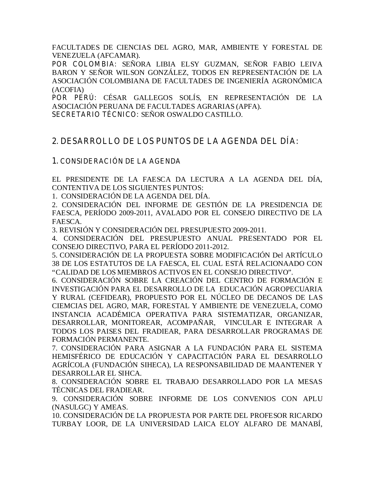FACULTADES DE CIENCIAS DEL AGRO, MAR, AMBIENTE Y FORESTAL DE VENEZUELA (AFCAMAR).

POR COLOMBIA: SEÑORA LIBIA ELSY GUZMAN, SEÑOR FABIO LEIVA BARON Y SEÑOR WILSON GONZÁLEZ, TODOS EN REPRESENTACIÓN DE LA ASOCIACIÓN COLOMBIANA DE FACULTADES DE INGENIERÍA AGRONÓMICA (ACOFIA)

POR PERÚ: CÉSAR GALLEGOS SOLÍS, EN REPRESENTACIÓN DE LA ASOCIACIÓN PERUANA DE FACULTADES AGRARIAS (APFA).

SECRETARIO TÉCNICO: SEÑOR OSWALDO CASTILLO.

# 2. DESARROLLO DE LOS PUNTOS DE LA AGENDA DEL DÍA:

### 1. CONSIDERACIÓN DE LA AGENDA

EL PRESIDENTE DE LA FAESCA DA LECTURA A LA AGENDA DEL DÍA, CONTENTIVA DE LOS SIGUIENTES PUNTOS:

1. CONSIDERACIÓN DE LA AGENDA DEL DÍA.

2. CONSIDERACIÓN DEL INFORME DE GESTIÓN DE LA PRESIDENCIA DE FAESCA, PERÍODO 2009-2011, AVALADO POR EL CONSEJO DIRECTIVO DE LA FAESCA.

3. REVISIÓN Y CONSIDERACIÓN DEL PRESUPUESTO 2009-2011.

4. CONSIDERACIÓN DEL PRESUPUESTO ANUAL PRESENTADO POR EL CONSEJO DIRECTIVO, PARA EL PERÍODO 2011-2012.

5. CONSIDERACIÓN DE LA PROPUESTA SOBRE MODIFICACIÓN Del ARTÍCULO 38 DE LOS ESTATUTOS DE LA FAESCA, EL CUAL ESTÁ RELACIONAADO CON "CALIDAD DE LOS MIEMBROS ACTIVOS EN EL CONSEJO DIRECTIVO".

6. CONSIDERACIÓN SOBRE LA CREACIÓN DEL CENTRO DE FORMACIÓN E INVESTIGACIÓN PARA EL DESARROLLO DE LA EDUCACIÓN AGROPECUARIA Y RURAL (CEFIDEAR), PROPUESTO POR EL NÚCLEO DE DECANOS DE LAS CIEMCIAS DEL AGRO, MAR, FORESTAL Y AMBIENTE DE VENEZUELA, COMO INSTANCIA ACADÉMICA OPERATIVA PARA SISTEMATIZAR, ORGANIZAR, DESARROLLAR, MONITOREAR, ACOMPAÑAR, VINCULAR E INTEGRAR A TODOS LOS PAISES DEL FRADIEAR, PARA DESARROLLAR PROGRAMAS DE FORMACIÓN PERMANENTE.

7. CONSIDERACIÓN PARA ASIGNAR A LA FUNDACIÓN PARA EL SISTEMA HEMISFÉRICO DE EDUCACIÓN Y CAPACITACIÓN PARA EL DESARROLLO AGRÍCOLA (FUNDACIÓN SIHECA), LA RESPONSABILIDAD DE MAANTENER Y DESARROLLAR EL SIHCA.

8. CONSIDERACIÓN SOBRE EL TRABAJO DESARROLLADO POR LA MESAS TÉCNICAS DEL FRADIEAR.

9. CONSIDERACIÓN SOBRE INFORME DE LOS CONVENIOS CON APLU (NASULGC) Y AMEAS.

10. CONSIDERACIÓN DE LA PROPUESTA POR PARTE DEL PROFESOR RICARDO TURBAY LOOR, DE LA UNIVERSIDAD LAICA ELOY ALFARO DE MANABÍ,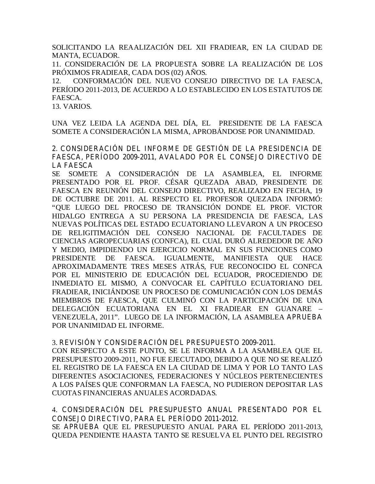SOLICITANDO LA REAALIZACIÓN DEL XII FRADIEAR, EN LA CIUDAD DE MANTA, ECUADOR.

11. CONSIDERACIÓN DE LA PROPUESTA SOBRE LA REALIZACIÓN DE LOS PRÓXIMOS FRADIEAR, CADA DOS (02) AÑOS.

12. CONFORMACIÓN DEL NUEVO CONSEJO DIRECTIVO DE LA FAESCA, PERÍODO 2011-2013, DE ACUERDO A LO ESTABLECIDO EN LOS ESTATUTOS DE FAESCA.

13. VARIOS.

UNA VEZ LEIDA LA AGENDA DEL DÍA, EL PRESIDENTE DE LA FAESCA SOMETE A CONSIDERACIÓN LA MISMA, APROBÁNDOSE POR UNANIMIDAD.

### 2. CONSIDERACIÓN DEL INFORME DE GESTIÓN DE LA PRESIDENCIA DE FAESCA, PERÍODO 2009-2011, AVALADO POR EL CONSEJO DIRECTIVO DE LA FAESCA

SE SOMETE A CONSIDERACIÓN DE LA ASAMBLEA, EL INFORME PRESENTADO POR EL PROF. CÉSAR QUEZADA ABAD, PRESIDENTE DE FAESCA EN REUNIÓN DEL CONSEJO DIRECTIVO, REALIZADO EN FECHA, 19 DE OCTUBRE DE 2011. AL RESPECTO EL PROFESOR QUEZADA INFORMÓ: "QUE LUEGO DEL PROCESO DE TRANSICIÓN DONDE EL PROF. VICTOR HIDALGO ENTREGA A SU PERSONA LA PRESIDENCIA DE FAESCA, LAS NUEVAS POLÍTICAS DEL ESTADO ECUATORIANO LLEVARON A UN PROCESO DE RELIGITIMACIÓN DEL CONSEJO NACIONAL DE FACULTADES DE CIENCIAS AGROPECUARIAS (CONFCA), EL CUAL DURÓ ALREDEDOR DE AÑO Y MEDIO, IMPIDIENDO UN EJERCICIO NORMAL EN SUS FUNCIONES COMO PRESIDENTE DE FAESCA. IGUALMENTE, MANIFIESTA QUE HACE APROXIMADAMENTE TRES MESES ATRÁS, FUE RECONOCIDO EL CONFCA POR EL MINISTERIO DE EDUCACIÓN DEL ECUADOR, PROCEDIENDO DE INMEDIATO EL MISMO, A CONVOCAR EL CAPÍTULO ECUATORIANO DEL FRADIEAR, INICIÁNDOSE UN PROCESO DE COMUNICACIÓN CON LOS DEMÁS MIEMBROS DE FAESCA, QUE CULMINÓ CON LA PARTICIPACIÓN DE UNA DELEGACIÓN ECUATORIANA EN EL XI FRADIEAR EN GUANARE – VENEZUELA, 2011". LUEGO DE LA INFORMACIÓN, LA ASAMBLEA APRUEBA POR UNANIMIDAD EL INFORME.

### 3. REVISIÓN Y CONSIDERACIÓN DEL PRESUPUESTO 2009-2011.

CON RESPECTO A ESTE PUNTO, SE LE INFORMA A LA ASAMBLEA QUE EL PRESUPUESTO 2009-2011, NO FUE EJECUTADO, DEBIDO A QUE NO SE REALIZÓ EL REGISTRO DE LA FAESCA EN LA CIUDAD DE LIMA Y POR LO TANTO LAS DIFERENTES ASOCIACIONES, FEDERACIONES Y NÚCLEOS PERTENECIENTES A LOS PAÍSES QUE CONFORMAN LA FAESCA, NO PUDIERON DEPOSITAR LAS CUOTAS FINANCIERAS ANUALES ACORDADAS.

### 4. CONSIDERACIÓN DEL PRESUPUESTO ANUAL PRESENTADO POR EL CONSEJO DIRECTIVO, PARA EL PERÍODO 2011-2012.

SE APRUEBA QUE EL PRESUPUESTO ANUAL PARA EL PERÍODO 2011-2013, QUEDA PENDIENTE HAASTA TANTO SE RESUELVA EL PUNTO DEL REGISTRO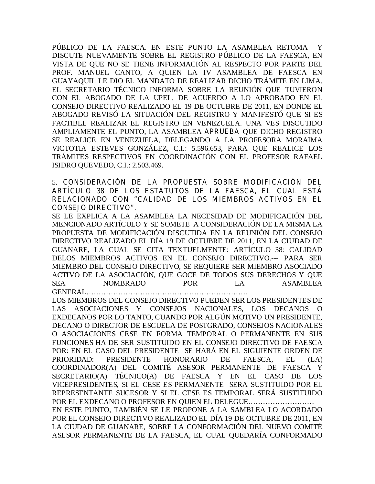PÚBLICO DE LA FAESCA. EN ESTE PUNTO LA ASAMBLEA RETOMA Y DISCUTE NUEVAMENTE SOBRE EL REGISTRO PÚBLICO DE LA FAESCA, EN VISTA DE QUE NO SE TIENE INFORMACIÓN AL RESPECTO POR PARTE DEL PROF. MANUEL CANTO, A QUIEN LA IV ASAMBLEA DE FAESCA EN GUAYAQUIL LE DIO EL MANDATO DE REALIZAR DICHO TRÁMITE EN LIMA. EL SECRETARIO TÉCNICO INFORMA SOBRE LA REUNIÓN QUE TUVIERON CON EL ABOGADO DE LA UPEL, DE ACUERDO A LO APROBADO EN EL CONSEJO DIRECTIVO REALIZADO EL 19 DE OCTUBRE DE 2011, EN DONDE EL ABOGADO REVISÓ LA SITUACIÓN DEL REGISTRO Y MANIFESTÓ QUE SI ES FACTIBLE REALIZAR EL REGISTRO EN VENEZUELA. UNA VES DISCUTIDO AMPLIAMENTE EL PUNTO, LA ASAMBLEA APRUEBA QUE DICHO REGISTRO SE REALICE EN VENEZUELA, DELEGANDO A LA PROFESORA MORAIMA VICTOTIA ESTEVES GONZÁLEZ, C.I.: 5.596.653, PARA QUE REALICE LOS TRÁMITES RESPECTIVOS EN COORDINACIÓN CON EL PROFESOR RAFAEL ISIDRO QUEVEDO, C.I.: 2.503.469.

### 5. CONSIDERACIÓN DE LA PROPUESTA SOBRE MODIFICACIÓN DEL ARTÍCULO 38 DE LOS ESTATUTOS DE LA FAESCA, EL CUAL ESTÁ RELACIONADO CON "CALIDAD DE LOS MIEMBROS ACTIVOS EN EL CONSEJO DIRECTIVO".

SE LE EXPLICA A LA ASAMBLEA LA NECESIDAD DE MODIFICACIÓN DEL MENCIONADO ARTÍCULO Y SE SOMETE A CONSIDERACIÓN DE LA MISMA LA PROPUESTA DE MODIFICACIÓN DISCUTIDA EN LA REUNIÓN DEL CONSEJO DIRECTIVO REALIZADO EL DÍA 19 DE OCTUBRE DE 2011, EN LA CIUDAD DE GUANARE, LA CUAL SE CITA TEXTUELMENTE: ARTÍCULO 38: CALIDAD DELOS MIEMBROS ACTIVOS EN EL CONSEJO DIRECTIVO.--- PARA SER MIEMBRO DEL CONSEJO DIRECTIVO, SE REQUIERE SER MIEMBRO ASOCIADO ACTIVO DE LA ASOCIACIÓN, QUE GOCE DE TODOS SUS DERECHOS Y QUE SEA NOMBRADO POR LA ASAMBLEA

GENERAL…………………………………………………………

LOS MIEMBROS DEL CONSEJO DIRECTIVO PUEDEN SER LOS PRESIDENTES DE LAS ASOCIACIONES Y CONSEJOS NACIONALES, LOS DECANOS O EXDECANOS POR LO TANTO, CUANDO POR ALGÚN MOTIVO UN PRESIDENTE, DECANO O DIRECTOR DE ESCUELA DE POSTGRADO, CONSEJOS NACIONALES O ASOCIACIONES CESE EN FORMA TEMPORAL O PERMANENTE EN SUS FUNCIONES HA DE SER SUSTITUIDO EN EL CONSEJO DIRECTIVO DE FAESCA POR: EN EL CASO DEL PRESIDENTE SE HARÁ EN EL SIGUIENTE ORDEN DE PRIORIDAD: PRESIDENTE HONORARIO DE FAESCA, EL (LA) COORDINADOR(A) DEL COMITÉ ASESOR PERMANENTE DE FAESCA Y SECRETARIO(A) TÉCNICO(A) DE FAESCA Y EN EL CASO DE LOS VICEPRESIDENTES, SI EL CESE ES PERMANENTE SERA SUSTITUIDO POR EL REPRESENTANTE SUCESOR Y SI EL CESE ES TEMPORAL SERÁ SUSTITUIDO POR EL EXDECANO O PROFESOR EN QUIEN EL DELEGUE……………………… EN ESTE PUNTO, TAMBIÉN SE LE PROPONE A LA SAMBLEA LO ACORDADO POR EL CONSEJO DIRECTIVO REALIZADO EL DÍA 19 DE OCTUBRE DE 2011, EN LA CIUDAD DE GUANARE, SOBRE LA CONFORMACIÓN DEL NUEVO COMITÉ

ASESOR PERMANENTE DE LA FAESCA, EL CUAL QUEDARÍA CONFORMADO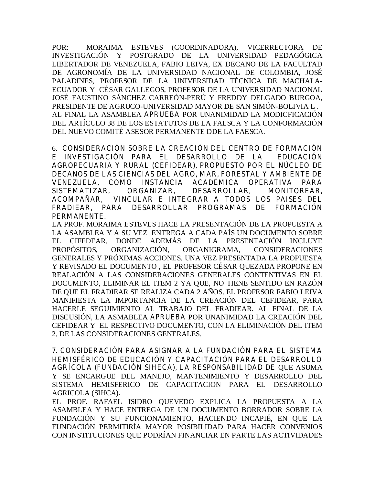POR: MORAIMA ESTEVES (COORDINADORA), VICERRECTORA DE INVESTIGACIÓN Y POSTGRADO DE LA UNIVERSIDAD PEDAGÓGICA LIBERTADOR DE VENEZUELA, FABIO LEIVA, EX DECANO DE LA FACULTAD DE AGRONOMÍA DE LA UNIVERSIDAD NACIONAL DE COLOMBIA, JOSÉ PALADINES, PROFESOR DE LA UNIVERSIDAD TÉCNICA DE MACHALA-ECUADOR Y CÉSAR GALLEGOS, PROFESOR DE LA UNIVERSIDAD NACIONAL JOSÉ FAUSTINO SÁNCHEZ CARREÓN-PERÚ Y FREDDY DELGADO BURGOA, PRESIDENTE DE AGRUCO-UNIVERSIDAD MAYOR DE SAN SIMÓN-BOLIVIA L . AL FINAL LA ASAMBLEA **APRUEBA** POR UNANIMIDAD LA MODICFICACIÓN DEL ARTÍCULO 38 DE LOS ESTATUTOS DE LA FAESCA Y LA CONFORMACIÓN DEL NUEVO COMITÉ ASESOR PERMANENTE DDE LA FAESCA.

6. CONSIDERACIÓN SOBRE LA CREACIÓN DEL CENTRO DE FORMACIÓN E INVESTIGACIÓN PARA EL DESARROLLO DE LA EDUCACIÓN AGROPECUARIA Y RURAL (CEFIDEAR), PROPUESTO POR EL NÚCLEO DE DECANOS DE LAS CIENCIAS DEL AGRO, MAR, FORESTAL Y AMBIENTE DE VENEZUELA, COMO INSTANCIA ACADÉMICA OPERATIVA PARA SISTEMATIZAR, ORGANIZAR, DESARROLLAR, MONITOREAR, ACOMPAÑAR, VINCULAR E INTEGRAR A TODOS LOS PAISES DEL FRADIEAR, PARA DESARROLLAR PROGRAMAS DE FORMACIÓN PERMANENTE.

LA PROF. MORAIMA ESTEVES HACE LA PRESENTACIÓN DE LA PROPUESTA A LA ASAMBLEA Y A SU VEZ ENTREGA A CADA PAÍS UN DOCUMENTO SOBRE EL CIFEDEAR, DONDE ADEMÁS DE LA PRESENTACIÓN INCLUYE PROPÓSITOS, ORGANIZACIÓN, ORGANIGRAMA, CONSIDERACIONES GENERALES Y PRÓXIMAS ACCIONES. UNA VEZ PRESENTADA LA PROPUESTA Y REVISADO EL DOCUMENTO , EL PROFESOR CÉSAR QUEZADA PROPONE EN REALACIÓN A LAS CONSIDERACIONES GENERALES CONTENTIVAS EN EL DOCUMENTO, ELIMINAR EL ITEM 2 YA QUE, NO TIENE SENTIDO EN RAZÓN DE QUE EL FRADIEAR SE REALIZA CADA 2 AÑOS. EL PROFESOR FABIO LEIVA MANIFIESTA LA IMPORTANCIA DE LA CREACIÓN DEL CEFIDEAR, PARA HACERLE SEGUIMIENTO AL TRABAJO DEL FRADIEAR. AL FINAL DE LA DISCUSIÓN, LA ASMABLEA APRUEBA POR UNANIMIDAD LA CREACIÓN DEL CEFIDEAR Y EL RESPECTIVO DOCUMENTO, CON LA ELIMINACIÓN DEL ITEM 2, DE LAS CONSIDERACIONES GENERALES.

7. CONSIDERACIÓN PARA ASIGNAR A LA FUNDACIÓN PARA EL SISTEMA HEMISFÉRICO DE EDUCACIÓN Y CAPACITACIÓN PARA EL DESARROLLO AGRÍCOLA (FUNDACIÓN SIHECA), LA RESPONSABILIDAD DE QUE ASUMA Y SE ENCARGUE DEL MANEJO, MANTENIMIENTO Y DESARROLLO DEL SISTEMA HEMISFERICO DE CAPACITACION PARA EL DESARROLLO AGRICOLA (SIHCA).

EL PROF. RAFAEL ISIDRO QUEVEDO EXPLICA LA PROPUESTA A LA ASAMBLEA Y HACE ENTREGA DE UN DOCUMENTO BORRADOR SOBRE LA FUNDACIÓN Y SU FUNCIONAMIENTO, HACIENDO INCAPIÉ, EN QUE LA FUNDACIÓN PERMITIRÍA MAYOR POSIBILIDAD PARA HACER CONVENIOS CON INSTITUCIONES QUE PODRÍAN FINANCIAR EN PARTE LAS ACTIVIDADES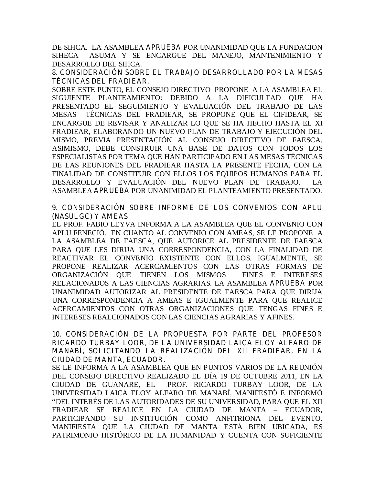DE SIHCA. LA ASAMBLEA APRUEBA POR UNANIMIDAD QUE LA FUNDACION SIHECA ASUMA Y SE ENCARGUE DEL MANEJO, MANTENIMIENTO Y DESARROLLO DEL SIHCA.

### 8. CONSIDERACIÓN SOBRE EL TRABAJO DESARROLLADO POR LA MESAS TÉCNICAS DEL FRADIEAR.

SOBRE ESTE PUNTO, EL CONSEJO DIRECTIVO PROPONE A LA ASAMBLEA EL SIGUIENTE PLANTEAMIENTO: DEBIDO A LA DIFICULTAD QUE HA PRESENTADO EL SEGUIMIENTO Y EVALUACIÓN DEL TRABAJO DE LAS MESAS TÉCNICAS DEL FRADIEAR, SE PROPONE QUE EL CIFIDEAR, SE ENCARGUE DE REVISAR Y ANALIZAR LO QUE SE HA HECHO HASTA EL XI FRADIEAR, ELABORANDO UN NUEVO PLAN DE TRABAJO Y EJECUCIÓN DEL MISMO, PREVIA PRESENTACIÓN AL CONSEJO DIRECTIVO DE FAESCA. ASIMISMO, DEBE CONSTRUIR UNA BASE DE DATOS CON TODOS LOS ESPECIALISTAS POR TEMA QUE HAN PARTICIPADO EN LAS MESAS TÉCNICAS DE LAS REUNIONES DEL FRADIEAR HASTA LA PRESENTE FECHA, CON LA FINALIDAD DE CONSTITUIR CON ELLOS LOS EQUIPOS HUMANOS PARA EL DESARROLLO Y EVALUACIÓN DEL NUEVO PLAN DE TRABAJO. LA ASAMBLEA APRUEBA POR UNANIMIDAD EL PLANTEAMIENTO PRESENTADO.

### 9. CONSIDERACIÓN SOBRE INFORME DE LOS CONVENIOS CON APLU (NASULGC) Y AMEAS.

EL PROF. FABIO LEYVA INFORMA A LA ASAMBLEA QUE EL CONVENIO CON APLU FENECIÓ. EN CUANTO AL CONVENIO CON AMEAS, SE LE PROPONE A LA ASAMBLEA DE FAESCA, QUE AUTORICE AL PRESIDENTE DE FAESCA PARA QUE LES DIRIJA UNA CORRESPONDENCIA, CON LA FINALIDAD DE REACTIVAR EL CONVENIO EXISTENTE CON ELLOS. IGUALMENTE, SE PROPONE REALIZAR ACERCAMIENTOS CON LAS OTRAS FORMAS DE ORGANIZACIÓN QUE TIENEN LOS MISMOS FINES E INTERESES RELACIONADOS A LAS CIENCIAS AGRARIAS. LA ASAMBLEA APRUEBA POR UNANIMIDAD AUTORIZAR AL PRESIDENTE DE FAESCA PARA QUE DIRIJA UNA CORRESPONDENCIA A AMEAS E IGUALMENTE PARA QUE REALICE ACERCAMIENTOS CON OTRAS ORGANIZACIONES QUE TENGAS FINES E INTERESES REALCIONADOS CON LAS CIENCIAS AGRARIAS Y AFINES.

### 10. CONSIDERACIÓN DE LA PROPUESTA POR PARTE DEL PROFESOR RICARDO TURBAY LOOR, DE LA UNIVERSIDAD LAICA ELOY ALFARO DE MANABÍ, SOLICITANDO LA REALIZACIÓN DEL XII FRADIEAR, EN LA CIUDAD DE MANTA, ECUADOR.

SE LE INFORMA A LA ASAMBLEA QUE EN PUNTOS VARIOS DE LA REUNIÓN DEL CONSEJO DIRECTIVO REALIZADO EL DÍA 19 DE OCTUBRE 2011, EN LA CIUDAD DE GUANARE, EL PROF. RICARDO TURBAY LOOR, DE LA UNIVERSIDAD LAICA ELOY ALFARO DE MANABÍ, MANIFESTÓ E INFORMÓ "DEL INTERÉS DE LAS AUTORIDADES DE SU UNIVERSIDAD, PARA QUE EL XII FRADIEAR SE REALICE EN LA CIUDAD DE MANTA – ECUADOR, PARTICIPANDO SU INSTITUCIÓN COMO ANFITRIONA DEL EVENTO. MANIFIESTA QUE LA CIUDAD DE MANTA ESTÁ BIEN UBICADA, ES PATRIMONIO HISTÓRICO DE LA HUMANIDAD Y CUENTA CON SUFICIENTE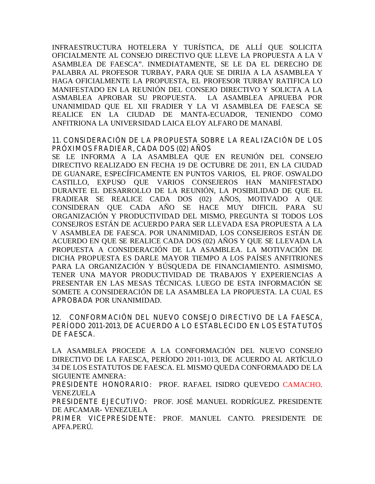INFRAESTRUCTURA HOTELERA Y TURÍSTICA, DE ALLÍ QUE SOLICITA OFICIALMENTE AL CONSEJO DIRECTIVO QUE LLEVE LA PROPUESTA A LA V ASAMBLEA DE FAESCA". INMEDIATAMENTE, SE LE DA EL DERECHO DE PALABRA AL PROFESOR TURBAY, PARA QUE SE DIRIJA A LA ASAMBLEA Y HAGA OFICIALMENTE LA PROPUESTA, EL PROFESOR TURBAY RATIFICA LO MANIFESTADO EN LA REUNIÓN DEL CONSEJO DIRECTIVO Y SOLICTA A LA ASMABLEA APROBAR SU PROPUESTA. LA ASAMBLEA APRUEBA POR UNANIMIDAD QUE EL XII FRADIER Y LA VI ASAMBLEA DE FAESCA SE REALICE EN LA CIUDAD DE MANTA-ECUADOR, TENIENDO COMO ANFITRIONA LA UNIVERSIDAD LAICA ELOY ALFARO DE MANABÍ.

### 11. CONSIDERACIÓN DE LA PROPUESTA SOBRE LA REALIZACIÓN DE LOS PRÓXIMOS FRADIEAR, CADA DOS (02) AÑOS

SE LE INFORMA A LA ASAMBLEA QUE EN REUNIÓN DEL CONSEJO DIRECTIVO REALIZADO EN FECHA 19 DE OCTUBRE DE 2011, EN LA CIUDAD DE GUANARE, ESPECÍFICAMENTE EN PUNTOS VARIOS, EL PROF. OSWALDO CASTILLO, EXPUSO QUE VARIOS CONSEJEROS HAN MANIFESTADO DURANTE EL DESARROLLO DE LA REUNIÓN, LA POSIBILIDAD DE QUE EL FRADIEAR SE REALICE CADA DOS (02) AÑOS, MOTIVADO A QUE CONSIDERAN QUE CADA AÑO SE HACE MUY DIFICIL PARA SU ORGANIZACIÓN Y PRODUCTIVIDAD DEL MISMO, PREGUNTA SI TODOS LOS CONSEJROS ESTÁN DE ACUERDO PARA SER LLEVADA ESA PROPUESTA A LA V ASAMBLEA DE FAESCA. POR UNANIMIDAD, LOS CONSEJEROS ESTÁN DE ACUERDO EN QUE SE REALICE CADA DOS (02) AÑOS Y QUE SE LLEVADA LA PROPUESTA A CONSIDERACIÓN DE LA ASAMBLEA. LA MOTIVACIÓN DE DICHA PROPUESTA ES DARLE MAYOR TIEMPO A LOS PAÍSES ANFITRIONES PARA LA ORGANIZACIÓN Y BÚSQUEDA DE FINANCIAMIENTO. ASIMISMO, TENER UNA MAYOR PRODUCTIVIDAD DE TRABAJOS Y EXPERIENCIAS A PRESENTAR EN LAS MESAS TÉCNICAS. LUEGO DE ESTA INFORMACIÓN SE SOMETE A CONSIDERACIÓN DE LA ASAMBLEA LA PROPUESTA. LA CUAL ES APROBADA POR UNANIMIDAD.

### 12. CONFORMACIÓN DEL NUEVO CONSEJO DIRECTIVO DE LA FAESCA, PERÍODO 2011-2013, DE ACUERDO A LO ESTABLECIDO EN LOS ESTATUTOS DE FAESCA.

LA ASAMBLEA PROCEDE A LA CONFORMACIÓN DEL NUEVO CONSEJO DIRECTIVO DE LA FAESCA, PERÍODO 2011-1013, DE ACUERDO AL ARTÍCULO 34 DE LOS ESTATUTOS DE FAESCA. EL MISMO QUEDA CONFORMAADO DE LA SIGUIENTE AMNERA:

PRESIDENTE HONORARIO: PROF. RAFAEL ISIDRO QUEVEDO CAMACHO. VENEZUELA

PRESIDENTE EJECUTIVO: PROF. JOSÉ MANUEL RODRÍGUEZ. PRESIDENTE DE AFCAMAR- VENEZUELA

PRIMER VICEPRESIDENTE: PROF. MANUEL CANTO. PRESIDENTE DE APFA.PERÚ.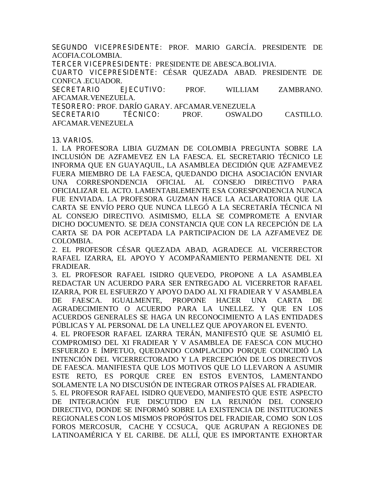SEGUNDO VICEPRESIDENTE: PROF. MARIO GARCÍA. PRESIDENTE DE ACOFIA.COLOMBIA.

TERCER VICEPRESIDENTE: PRESIDENTE DE ABESCA.BOLIVIA.

CUARTO VICEPRESIDENTE: CÉSAR QUEZADA ABAD. PRESIDENTE DE CONFCA .ECUADOR.

SECRETARIO EJECUTIVO: PROF. WILLIAM ZAMBRANO. AFCAMAR.VENEZUELA.

TESORERO: PROF. DARÍO GARAY. AFCAMAR.VENEZUELA

SECRETARIO TÉCNICO: PROF. OSWALDO CASTILLO. AFCAMAR.VENEZUELA

#### 13. VARIOS.

1. LA PROFESORA LIBIA GUZMAN DE COLOMBIA PREGUNTA SOBRE LA INCLUSIÓN DE AZFAMEVEZ EN LA FAESCA. EL SECRETARIO TÉCNICO LE INFORMA QUE EN GUAYAQUIL, LA ASAMBLEA DECIDIÓN QUE AZFAMEVEZ FUERA MIEMBRO DE LA FAESCA, QUEDANDO DICHA ASOCIACIÓN ENVIAR UNA CORRESPONDENCIA OFICIAL AL CONSEJO DIRECTIVO PARA OFICIALIZAR EL ACTO. LAMENTABLEMENTE ESA CORESPONDENCIA NUNCA FUE ENVIADA. LA PROFESORA GUZMAN HACE LA ACLARATORIA QUE LA CARTA SE ENVÍO PERO QUE NUNCA LLEGÓ A LA SECRETARÍA TÉCNICA NI AL CONSEJO DIRECTIVO. ASIMISMO, ELLA SE COMPROMETE A ENVIAR DICHO DOCUMENTO. SE DEJA CONSTANCIA QUE CON LA RECEPCIÓN DE LA CARTA SE DA POR ACEPTADA LA PARTICIPACION DE LA AZFAMEVEZ DE COLOMBIA.

2. EL PROFESOR CÉSAR QUEZADA ABAD, AGRADECE AL VICERRECTOR RAFAEL IZARRA, EL APOYO Y ACOMPAÑAMIENTO PERMANENTE DEL XI FRADIEAR.

3. EL PROFESOR RAFAEL ISIDRO QUEVEDO, PROPONE A LA ASAMBLEA REDACTAR UN ACUERDO PARA SER ENTREGADO AL VICERRETOR RAFAEL IZARRA, POR EL ESFUERZO Y APOYO DADO AL XI FRADIEAR Y V ASAMBLEA DE FAESCA. IGUALMENTE, PROPONE HACER UNA CARTA DE AGRADECIMIENTO O ACUERDO PARA LA UNELLEZ. Y QUE EN LOS ACUERDOS GENERALES SE HAGA UN RECONOCIMIENTO A LAS ENTIDADES PÚBLICAS Y AL PERSONAL DE LA UNELLEZ QUE APOYARON EL EVENTO.

4. EL PROFESOR RAFAEL IZARRA TERÁN, MANIFESTÓ QUE SE ASUMIÓ EL COMPROMISO DEL XI FRADIEAR Y V ASAMBLEA DE FAESCA CON MUCHO ESFUERZO E ÍMPETUO, QUEDANDO COMPLACIDO PORQUE COINCIDIÓ LA INTENCIÓN DEL VICERRECTORADO Y LA PERCEPCIÓN DE LOS DIRECTIVOS DE FAESCA. MANIFIESTA QUE LOS MOTIVOS QUE LO LLEVARON A ASUMIR ESTE RETO, ES PORQUE CREE EN ESTOS EVENTOS, LAMENTANDO SOLAMENTE LA NO DISCUSIÓN DE INTEGRAR OTROS PAÍSES AL FRADIEAR.

5. EL PROFESOR RAFAEL ISIDRO QUEVEDO, MANIFESTÓ QUE ESTE ASPECTO DE INTEGRACIÓN FUE DISCUTIDO EN LA REUNIÓN DEL CONSEJO DIRECTIVO, DONDE SE INFORMÓ SOBRE LA EXISTENCIA DE INSTITUCIONES REGIONALES CON LOS MISMOS PROPÓSITOS DEL FRADIEAR, COMO SON LOS FOROS MERCOSUR, CACHE Y CCSUCA, QUE AGRUPAN A REGIONES DE LATINOAMÉRICA Y EL CARIBE. DE ALLÍ, QUE ES IMPORTANTE EXHORTAR